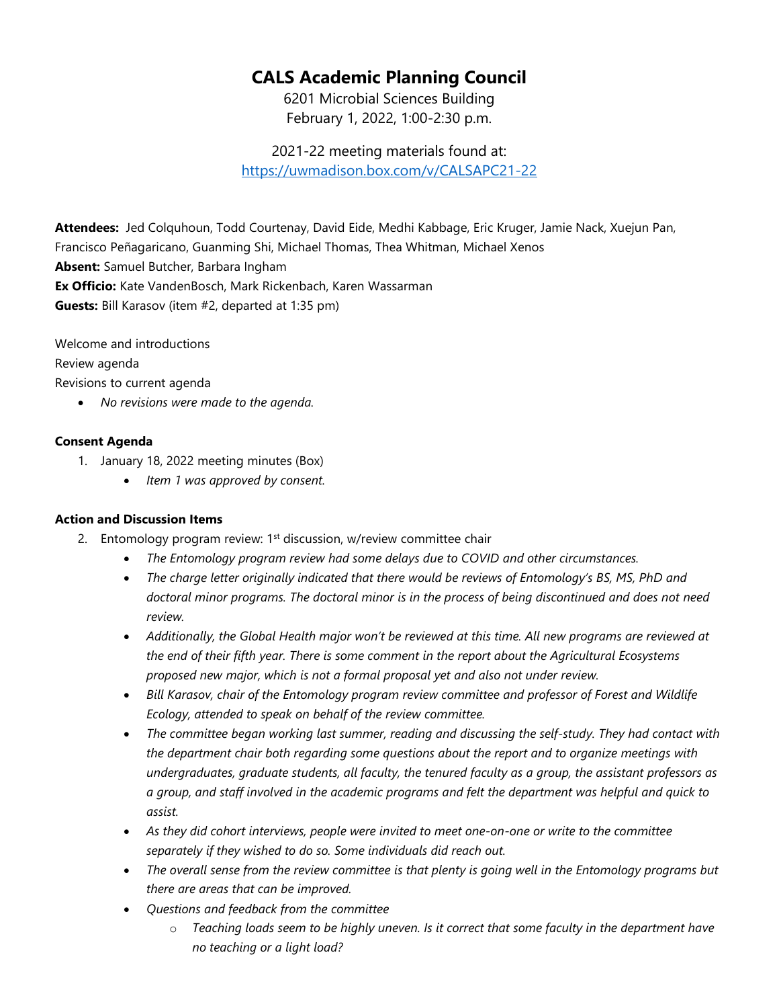## **CALS Academic Planning Council**

6201 Microbial Sciences Building February 1, 2022, 1:00-2:30 p.m.

2021-22 meeting materials found at: <https://uwmadison.box.com/v/CALSAPC21-22>

**Attendees:** Jed Colquhoun, Todd Courtenay, David Eide, Medhi Kabbage, Eric Kruger, Jamie Nack, Xuejun Pan, Francisco Peñagaricano, Guanming Shi, Michael Thomas, Thea Whitman, Michael Xenos **Absent:** Samuel Butcher, Barbara Ingham **Ex Officio:** Kate VandenBosch, Mark Rickenbach, Karen Wassarman **Guests:** Bill Karasov (item #2, departed at 1:35 pm)

Welcome and introductions

Review agenda

Revisions to current agenda

• *No revisions were made to the agenda.*

## **Consent Agenda**

- 1. January 18, 2022 meeting minutes (Box)
	- *Item 1 was approved by consent.*

## **Action and Discussion Items**

- 2. Entomology program review:  $1<sup>st</sup>$  discussion, w/review committee chair
	- *The Entomology program review had some delays due to COVID and other circumstances.*
	- *The charge letter originally indicated that there would be reviews of Entomology's BS, MS, PhD and doctoral minor programs. The doctoral minor is in the process of being discontinued and does not need review.*
	- *Additionally, the Global Health major won't be reviewed at this time. All new programs are reviewed at the end of their fifth year. There is some comment in the report about the Agricultural Ecosystems proposed new major, which is not a formal proposal yet and also not under review.*
	- *Bill Karasov, chair of the Entomology program review committee and professor of Forest and Wildlife Ecology, attended to speak on behalf of the review committee.*
	- *The committee began working last summer, reading and discussing the self-study. They had contact with the department chair both regarding some questions about the report and to organize meetings with undergraduates, graduate students, all faculty, the tenured faculty as a group, the assistant professors as a group, and staff involved in the academic programs and felt the department was helpful and quick to assist.*
	- *As they did cohort interviews, people were invited to meet one-on-one or write to the committee separately if they wished to do so. Some individuals did reach out.*
	- *The overall sense from the review committee is that plenty is going well in the Entomology programs but there are areas that can be improved.*
	- *Questions and feedback from the committee*
		- o *Teaching loads seem to be highly uneven. Is it correct that some faculty in the department have no teaching or a light load?*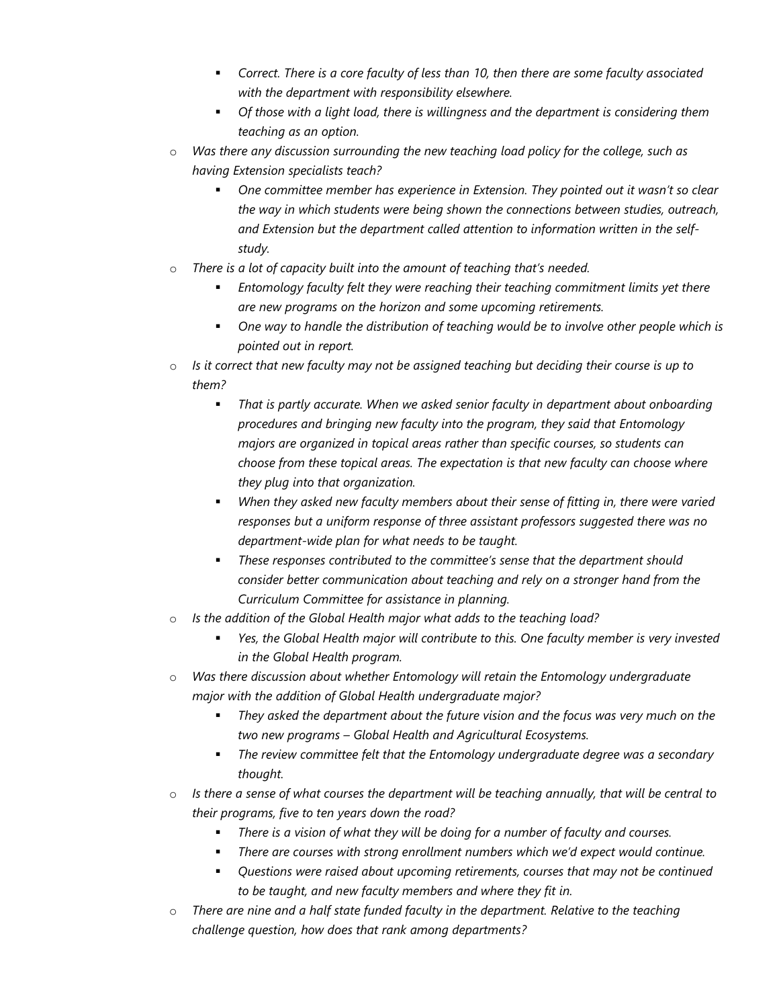- *Correct. There is a core faculty of less than 10, then there are some faculty associated with the department with responsibility elsewhere.*
- *Of those with a light load, there is willingness and the department is considering them teaching as an option.*
- o *Was there any discussion surrounding the new teaching load policy for the college, such as having Extension specialists teach?*
	- *One committee member has experience in Extension. They pointed out it wasn't so clear the way in which students were being shown the connections between studies, outreach, and Extension but the department called attention to information written in the selfstudy.*
- o *There is a lot of capacity built into the amount of teaching that's needed.*
	- *Entomology faculty felt they were reaching their teaching commitment limits yet there are new programs on the horizon and some upcoming retirements.*
	- *One way to handle the distribution of teaching would be to involve other people which is pointed out in report.*
- o *Is it correct that new faculty may not be assigned teaching but deciding their course is up to them?*
	- *That is partly accurate. When we asked senior faculty in department about onboarding procedures and bringing new faculty into the program, they said that Entomology majors are organized in topical areas rather than specific courses, so students can choose from these topical areas. The expectation is that new faculty can choose where they plug into that organization.*
	- *When they asked new faculty members about their sense of fitting in, there were varied responses but a uniform response of three assistant professors suggested there was no department-wide plan for what needs to be taught.*
	- *These responses contributed to the committee's sense that the department should consider better communication about teaching and rely on a stronger hand from the Curriculum Committee for assistance in planning.*
- o *Is the addition of the Global Health major what adds to the teaching load?*
	- *Yes, the Global Health major will contribute to this. One faculty member is very invested in the Global Health program.*
- o *Was there discussion about whether Entomology will retain the Entomology undergraduate major with the addition of Global Health undergraduate major?*
	- *They asked the department about the future vision and the focus was very much on the two new programs – Global Health and Agricultural Ecosystems.*
	- *The review committee felt that the Entomology undergraduate degree was a secondary thought.*
- o *Is there a sense of what courses the department will be teaching annually, that will be central to their programs, five to ten years down the road?*
	- *There is a vision of what they will be doing for a number of faculty and courses.*
	- *There are courses with strong enrollment numbers which we'd expect would continue.*
	- *Questions were raised about upcoming retirements, courses that may not be continued to be taught, and new faculty members and where they fit in.*
- o *There are nine and a half state funded faculty in the department. Relative to the teaching challenge question, how does that rank among departments?*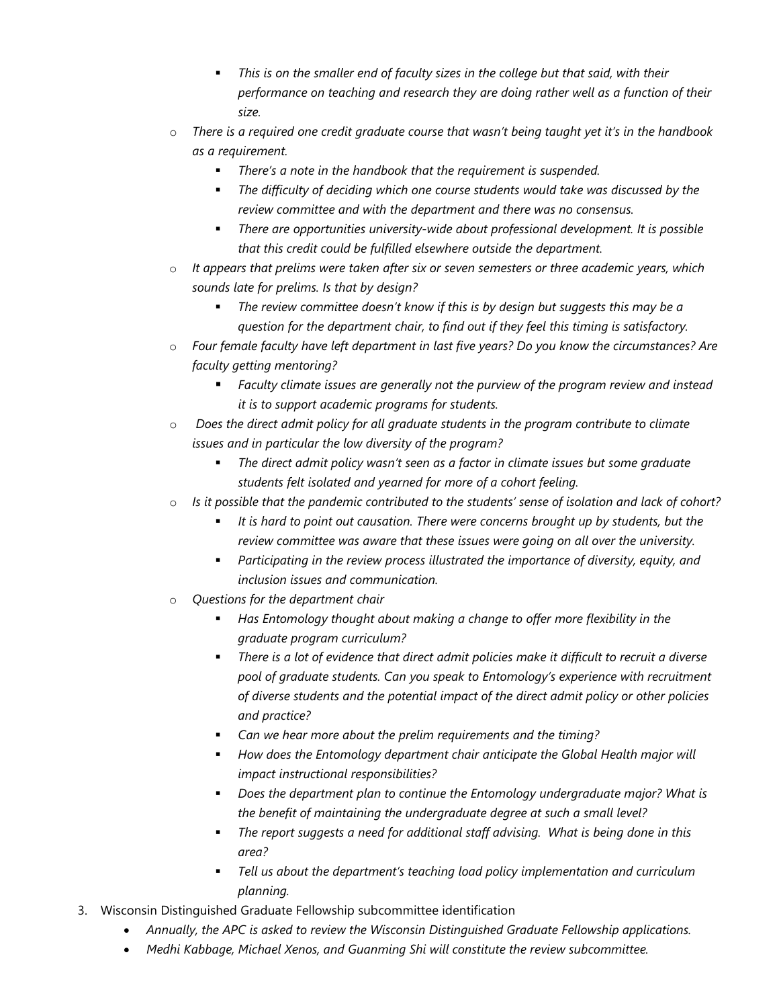- *This is on the smaller end of faculty sizes in the college but that said, with their performance on teaching and research they are doing rather well as a function of their size.*
- o *There is a required one credit graduate course that wasn't being taught yet it's in the handbook as a requirement.*
	- *There's a note in the handbook that the requirement is suspended.*
	- *The difficulty of deciding which one course students would take was discussed by the review committee and with the department and there was no consensus.*
	- *There are opportunities university-wide about professional development. It is possible that this credit could be fulfilled elsewhere outside the department.*
- o *It appears that prelims were taken after six or seven semesters or three academic years, which sounds late for prelims. Is that by design?*
	- *The review committee doesn't know if this is by design but suggests this may be a question for the department chair, to find out if they feel this timing is satisfactory.*
- o *Four female faculty have left department in last five years? Do you know the circumstances? Are faculty getting mentoring?*
	- *Faculty climate issues are generally not the purview of the program review and instead it is to support academic programs for students.*
- o *Does the direct admit policy for all graduate students in the program contribute to climate issues and in particular the low diversity of the program?*
	- *The direct admit policy wasn't seen as a factor in climate issues but some graduate students felt isolated and yearned for more of a cohort feeling.*
- o *Is it possible that the pandemic contributed to the students' sense of isolation and lack of cohort?*
	- *It is hard to point out causation. There were concerns brought up by students, but the review committee was aware that these issues were going on all over the university.* 
		- *Participating in the review process illustrated the importance of diversity, equity, and inclusion issues and communication.*
- o *Questions for the department chair*
	- *Has Entomology thought about making a change to offer more flexibility in the graduate program curriculum?*
	- *There is a lot of evidence that direct admit policies make it difficult to recruit a diverse pool of graduate students. Can you speak to Entomology's experience with recruitment of diverse students and the potential impact of the direct admit policy or other policies and practice?*
	- *Can we hear more about the prelim requirements and the timing?*
	- **How does the Entomology department chair anticipate the Global Health major will** *impact instructional responsibilities?*
	- *Does the department plan to continue the Entomology undergraduate major? What is the benefit of maintaining the undergraduate degree at such a small level?*
	- *The report suggests a need for additional staff advising. What is being done in this area?*
	- *Tell us about the department's teaching load policy implementation and curriculum planning.*
- 3. Wisconsin Distinguished Graduate Fellowship subcommittee identification
	- *Annually, the APC is asked to review the Wisconsin Distinguished Graduate Fellowship applications.*
	- *Medhi Kabbage, Michael Xenos, and Guanming Shi will constitute the review subcommittee.*